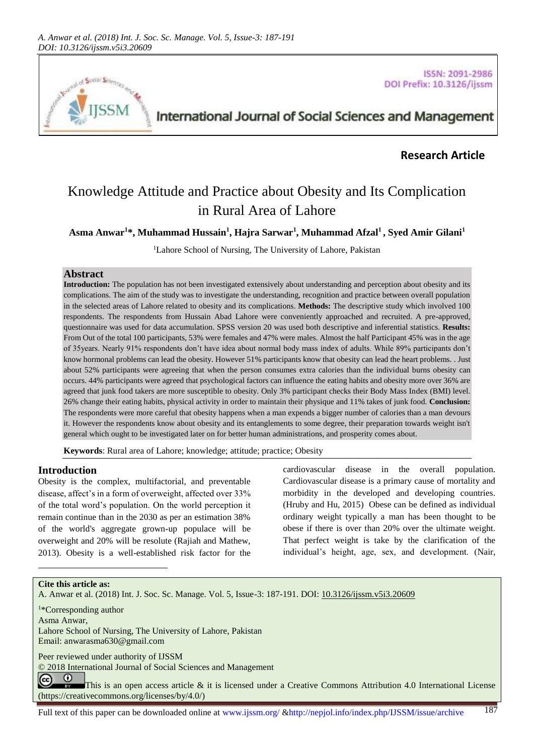

**ISSN: 2091-2986** DOI Prefix: 10.3126/ijssm

## International Journal of Social Sciences and Management

## **Research Article**

# Knowledge Attitude and Practice about Obesity and Its Complication in Rural Area of Lahore

**Asma Anwar<sup>1</sup>\*, Muhammad Hussain<sup>1</sup> , Hajra Sarwar<sup>1</sup> , Muhammad Afzal<sup>1</sup> , Syed Amir Gilani<sup>1</sup>**

<sup>1</sup>Lahore School of Nursing, The University of Lahore, Pakistan

## **Abstract**

**Introduction:** The population has not been investigated extensively about understanding and perception about obesity and its complications. The aim of the study was to investigate the understanding, recognition and practice between overall population in the selected areas of Lahore related to obesity and its complications. **Methods:** The descriptive study which involved 100 respondents. The respondents from Hussain Abad Lahore were conveniently approached and recruited. A pre-approved, questionnaire was used for data accumulation. SPSS version 20 was used both descriptive and inferential statistics. **Results:** From Out of the total 100 participants, 53% were females and 47% were males. Almost the half Participant 45% was in the age of 35years. Nearly 91% respondents don't have idea about normal body mass index of adults. While 89% participants don't know hormonal problems can lead the obesity. However 51% participants know that obesity can lead the heart problems. . Just about 52% participants were agreeing that when the person consumes extra calories than the individual burns obesity can occurs. 44% participants were agreed that psychological factors can influence the eating habits and obesity more over 36% are agreed that junk food takers are more susceptible to obesity. Only 3% participant checks their Body Mass Index (BMI) level. 26% change their eating habits, physical activity in order to maintain their physique and 11% takes of junk food. **Conclusion:**  The respondents were more careful that obesity happens when a man expends a bigger number of calories than a man devours it. However the respondents know about obesity and its entanglements to some degree, their preparation towards weight isn't general which ought to be investigated later on for better human administrations, and prosperity comes about.

**Keywords**: Rural area of Lahore; knowledge; attitude; practice; Obesity

#### **Introduction**

Obesity is the complex, multifactorial, and preventable disease, affect's in a form of overweight, affected over 33% of the total word's population. On the world perception it remain continue than in the 2030 as per an estimation 38% of the world's aggregate grown-up populace will be overweight and 20% will be resolute (Rajiah and Mathew, 2013). Obesity is a well-established risk factor for the

cardiovascular disease in the overall population. Cardiovascular disease is a primary cause of mortality and morbidity in the developed and developing countries. (Hruby and Hu, 2015) Obese can be defined as individual ordinary weight typically a man has been thought to be obese if there is over than 20% over the ultimate weight. That perfect weight is take by the clarification of the individual's height, age, sex, and development. [\(Nair,](#page-4-0) 

#### **Cite this article as:**

A. Anwar et al. (2018) Int. J. Soc. Sc. Manage. Vol. 5, Issue-3: 187-191. DOI[: 10.3126/ijssm.v5i3.20609](http://dx.doi.org/10.3126/ijssm.v5i3.20609)

<sup>1</sup>\*Corresponding author

Asma Anwar,

l

Lahore School of Nursing, The University of Lahore, Pakistan Email: [anwarasma630@gmail.com](mailto:anwarasma630@gmail.com) 

Peer reviewed under authority of IJSSM

© 2018 International Journal of Social Sciences and Management

 $\odot$ (cc) This is an open access article & it is licensed under a Creative Commons Attribution 4.0 International License [\(https://creativecommons.org/licenses/by/4.0/\)](https://creativecommons.org/licenses/by/4.0/)

Full text of this paper can be downloaded online at www.ijssm.org/ &http://nepjol.info/index.php/IJSSM/issue/archive 187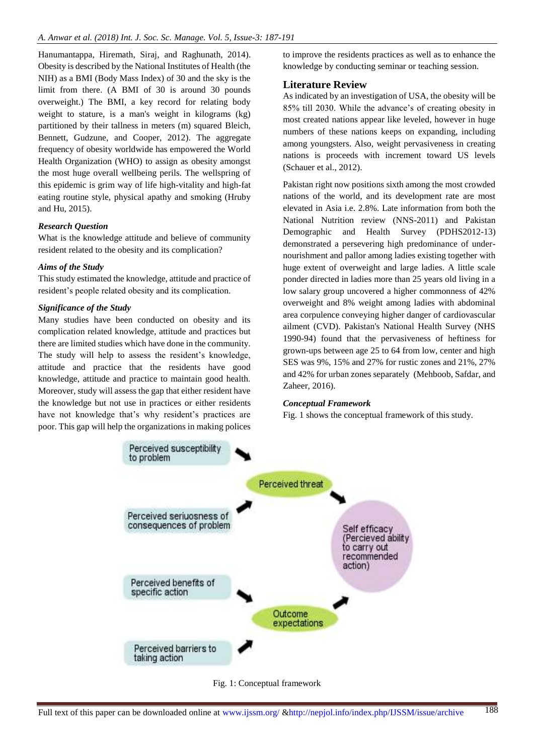[Hanumantappa, Hiremath, Siraj, and](#page-4-0) Raghunath, 2014). Obesity is described by the National Institutes of Health (the NIH) as a BMI (Body Mass Index) of 30 and the sky is the limit from there. (A BMI of 30 is around 30 pounds overweight.) The BMI, a key record for relating body weight to stature, is a man's weight in kilograms (kg) partitioned by their tallness in meters (m) squared Bleich, [Bennett, Gudzune, and](#page-4-1) Cooper, 2012). The aggregate frequency of obesity worldwide has empowered the World Health Organization (WHO) to assign as obesity amongst the most huge overall wellbeing perils. The wellspring of this epidemic is grim way of life high-vitality and high-fat eating routine style, physical apathy and smoking (Hruby and Hu, 2015).

#### *Research Question*

What is the knowledge attitude and believe of community resident related to the obesity and its complication?

#### *Aims of the Study*

This study estimated the knowledge, attitude and practice of resident's people related obesity and its complication.

#### *Significance of the Study*

Many studies have been conducted on obesity and its complication related knowledge, attitude and practices but there are limited studies which have done in the community. The study will help to assess the resident's knowledge, attitude and practice that the residents have good knowledge, attitude and practice to maintain good health. Moreover, study will assess the gap that either resident have the knowledge but not use in practices or either residents have not knowledge that's why resident's practices are poor. This gap will help the organizations in making polices

to improve the residents practices as well as to enhance the knowledge by conducting seminar or teaching session.

#### **Literature Review**

As indicated by an investigation of USA, the obesity will be 85% till 2030. While the advance's of creating obesity in most created nations appear like leveled, however in huge numbers of these nations keeps on expanding, including among youngsters. Also, weight pervasiveness in creating nations is proceeds with increment toward US levels (Schauer et al., 2012).

Pakistan right now positions sixth among the most crowded nations of the world, and its development rate are most elevated in Asia i.e. 2.8%. Late information from both the National Nutrition review (NNS-2011) and Pakistan Demographic and Health Survey (PDHS2012-13) demonstrated a persevering high predominance of undernourishment and pallor among ladies existing together with huge extent of overweight and large ladies. A little scale ponder directed in ladies more than 25 years old living in a low salary group uncovered a higher commonness of 42% overweight and 8% weight among ladies with abdominal area corpulence conveying higher danger of cardiovascular ailment (CVD). Pakistan's National Health Survey (NHS 1990-94) found that the pervasiveness of heftiness for grown-ups between age 25 to 64 from low, center and high SES was 9%, 15% and 27% for rustic zones and 21%, 27% and 42% for urban zones separately [\(Mehboob, Safdar, and](#page-4-2) [Zaheer, 2016\)](#page-4-2).

#### *Conceptual Framework*

Fig. 1 shows the conceptual framework of this study.



Fig. 1: Conceptual framework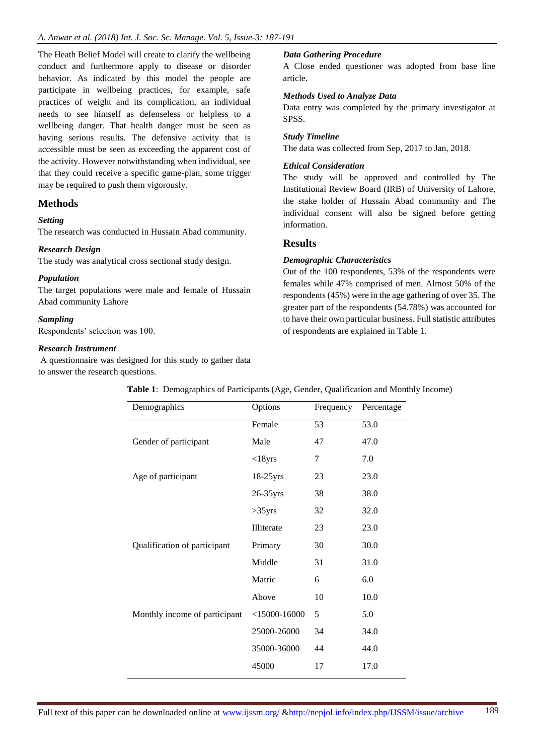The Heath Belief Model will create to clarify the wellbeing conduct and furthermore apply to disease or disorder behavior. As indicated by this model the people are participate in wellbeing practices, for example, safe practices of weight and its complication, an individual needs to see himself as defenseless or helpless to a wellbeing danger. That health danger must be seen as having serious results. The defensive activity that is accessible must be seen as exceeding the apparent cost of the activity. However notwithstanding when individual, see that they could receive a specific game-plan, some trigger may be required to push them vigorously.

## **Methods**

#### *Setting*

The research was conducted in Hussain Abad community.

#### *Research Design*

The study was analytical cross sectional study design.

#### *Population*

The target populations were male and female of Hussain Abad community Lahore

#### *Sampling*

Respondents' selection was 100.

#### *Research Instrument*

A questionnaire was designed for this study to gather data to answer the research questions.

#### *Data Gathering Procedure*

A Close ended questioner was adopted from base line article.

#### *Methods Used to Analyze Data*

Data entry was completed by the primary investigator at SPSS.

#### *Study Timeline*

The data was collected from Sep, 2017 to Jan, 2018.

#### *Ethical Consideration*

The study will be approved and controlled by The Institutional Review Board (IRB) of University of Lahore, the stake holder of Hussain Abad community and The individual consent will also be signed before getting information.

#### **Results**

#### *Demographic Characteristics*

Out of the 100 respondents, 53% of the respondents were females while 47% comprised of men. Almost 50% of the respondents (45%) were in the age gathering of over 35. The greater part of the respondents (54.78%) was accounted for to have their own particular business. Full statistic attributes of respondents are explained in Table 1.

| Demographics                  | Options           | Frequency | Percentage |
|-------------------------------|-------------------|-----------|------------|
|                               | Female            | 53        | 53.0       |
| Gender of participant         | Male              | 47        | 47.0       |
|                               | $<$ 18yrs         | 7         | 7.0        |
| Age of participant            | $18-25$ yrs       | 23        | 23.0       |
|                               | $26-35$ yrs       | 38        | 38.0       |
|                               | $>35$ yrs         | 32        | 32.0       |
|                               | <b>Illiterate</b> | 23        | 23.0       |
| Qualification of participant  | Primary           | 30        | 30.0       |
|                               | Middle            | 31        | 31.0       |
|                               | Matric            | 6         | 6.0        |
|                               | Above             | 10        | 10.0       |
| Monthly income of participant | $<$ 15000-16000   | 5         | 5.0        |
|                               | 25000-26000       | 34        | 34.0       |
|                               | 35000-36000       | 44        | 44.0       |
|                               | 45000             | 17        | 17.0       |
|                               |                   |           |            |

**Table 1**: Demographics of Participants (Age, Gender, Qualification and Monthly Income)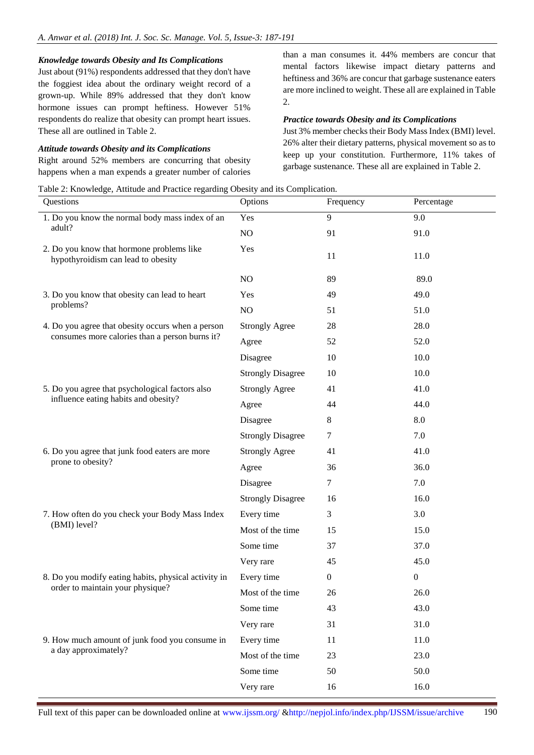#### *Knowledge towards Obesity and Its Complications*

Just about (91%) respondents addressed that they don't have the foggiest idea about the ordinary weight record of a grown-up. While 89% addressed that they don't know hormone issues can prompt heftiness. However 51% respondents do realize that obesity can prompt heart issues. These all are outlined in Table 2.

#### *Attitude towards Obesity and its Complications*

Right around 52% members are concurring that obesity happens when a man expends a greater number of calories

Table 2: Knowledge, Attitude and Practice regarding Obesity and its Complication.

than a man consumes it. 44% members are concur that mental factors likewise impact dietary patterns and heftiness and 36% are concur that garbage sustenance eaters are more inclined to weight. These all are explained in Table 2.

#### *Practice towards Obesity and its Complications*

Just 3% member checks their Body Mass Index (BMI) level. 26% alter their dietary patterns, physical movement so as to keep up your constitution. Furthermore, 11% takes of garbage sustenance. These all are explained in Table 2.

| re 2. Ano modge, i hundre and I factice regarding Cocon j and ho compriediron.<br>Questions         | Options                  | Frequency        | Percentage       |
|-----------------------------------------------------------------------------------------------------|--------------------------|------------------|------------------|
| 1. Do you know the normal body mass index of an<br>adult?                                           | Yes                      | $\overline{9}$   | 9.0              |
|                                                                                                     | $\rm NO$                 | 91               | 91.0             |
| 2. Do you know that hormone problems like<br>hypothyroidism can lead to obesity                     | Yes                      | 11               | 11.0             |
|                                                                                                     | NO                       | 89               | 89.0             |
| 3. Do you know that obesity can lead to heart<br>problems?                                          | Yes                      | 49               | 49.0             |
|                                                                                                     | $\rm NO$                 | 51               | 51.0             |
| 4. Do you agree that obesity occurs when a person<br>consumes more calories than a person burns it? | <b>Strongly Agree</b>    | 28               | 28.0             |
|                                                                                                     | Agree                    | 52               | 52.0             |
|                                                                                                     | Disagree                 | 10               | 10.0             |
|                                                                                                     | <b>Strongly Disagree</b> | 10               | 10.0             |
| 5. Do you agree that psychological factors also<br>influence eating habits and obesity?             | <b>Strongly Agree</b>    | 41               | 41.0             |
|                                                                                                     | Agree                    | 44               | 44.0             |
|                                                                                                     | Disagree                 | 8                | 8.0              |
|                                                                                                     | <b>Strongly Disagree</b> | $\tau$           | 7.0              |
| 6. Do you agree that junk food eaters are more<br>prone to obesity?                                 | <b>Strongly Agree</b>    | 41               | 41.0             |
|                                                                                                     | Agree                    | 36               | 36.0             |
|                                                                                                     | Disagree                 | 7                | 7.0              |
|                                                                                                     | <b>Strongly Disagree</b> | 16               | 16.0             |
| 7. How often do you check your Body Mass Index<br>(BMI) level?                                      | Every time               | 3                | 3.0              |
|                                                                                                     | Most of the time         | 15               | 15.0             |
|                                                                                                     | Some time                | 37               | 37.0             |
|                                                                                                     | Very rare                | 45               | 45.0             |
| 8. Do you modify eating habits, physical activity in<br>order to maintain your physique?            | Every time               | $\boldsymbol{0}$ | $\boldsymbol{0}$ |
|                                                                                                     | Most of the time         | 26               | 26.0             |
|                                                                                                     | Some time                | 43               | 43.0             |
|                                                                                                     | Very rare                | 31               | 31.0             |
| 9. How much amount of junk food you consume in<br>a day approximately?                              | Every time               | 11               | 11.0             |
|                                                                                                     | Most of the time         | 23               | 23.0             |
|                                                                                                     | Some time                | 50               | 50.0             |
|                                                                                                     | Very rare                | 16               | 16.0             |